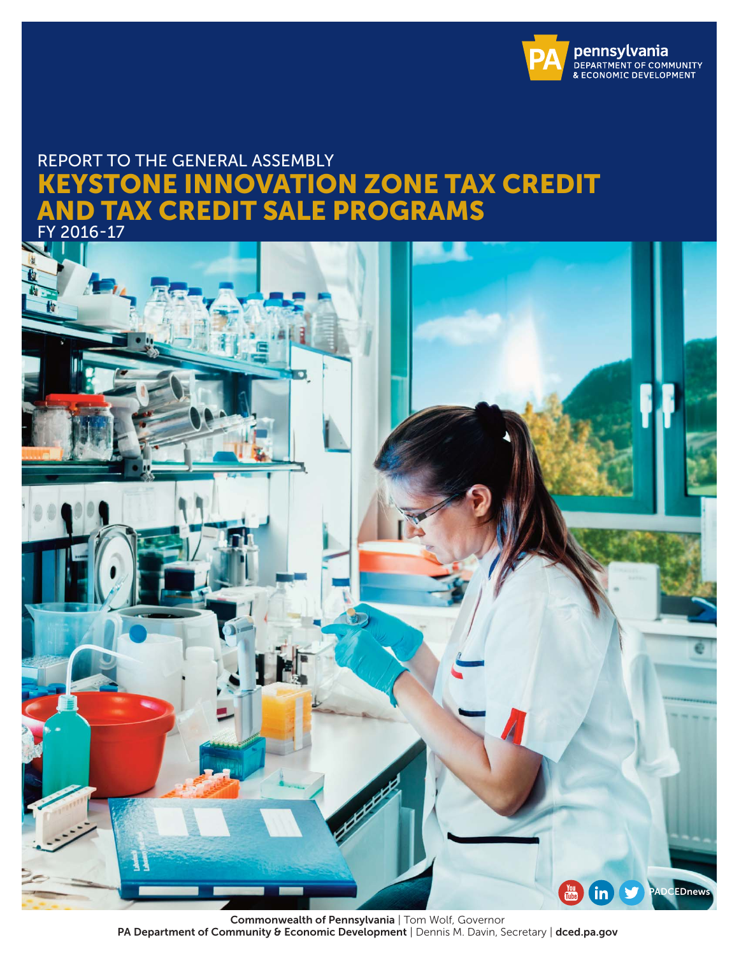

## REPORT TO THE GENERAL ASSEMBLY KEYSTONE INNOVATION ZONE TAX CREDIT AND TAX CREDIT SALE PROGRAMS





Commonwealth of Pennsylvania | Tom Wolf, Governor PA Department of Community & Economic Development | Dennis M. Davin, Secretary | dced.pa.gov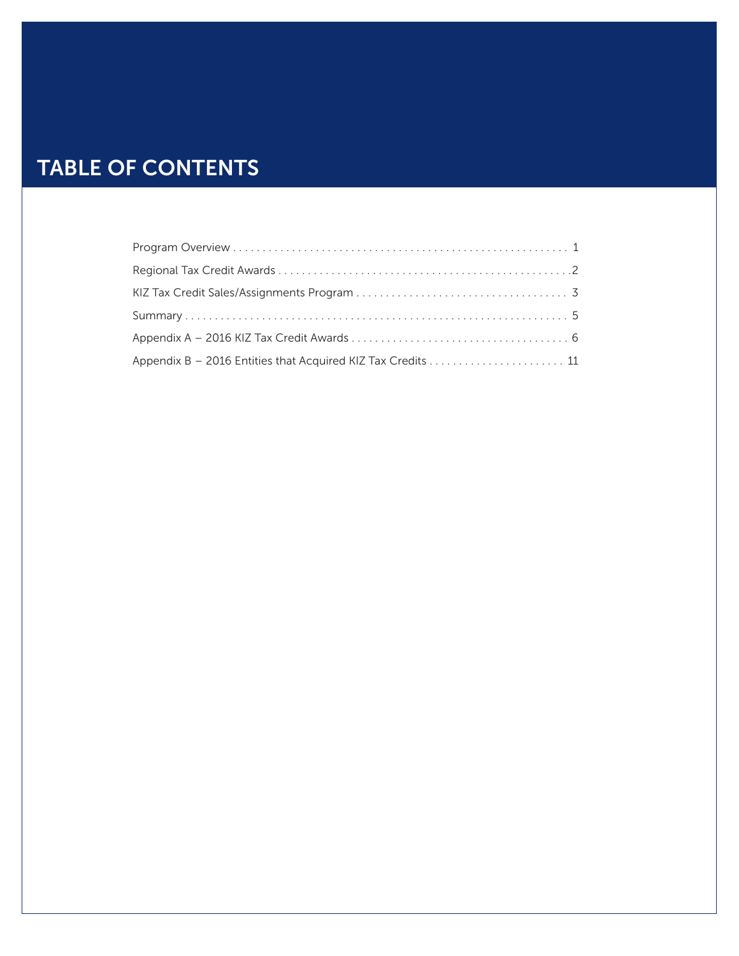# TABLE OF CONTENTS

| Appendix B - 2016 Entities that Acquired KIZ Tax Credits  11 |  |
|--------------------------------------------------------------|--|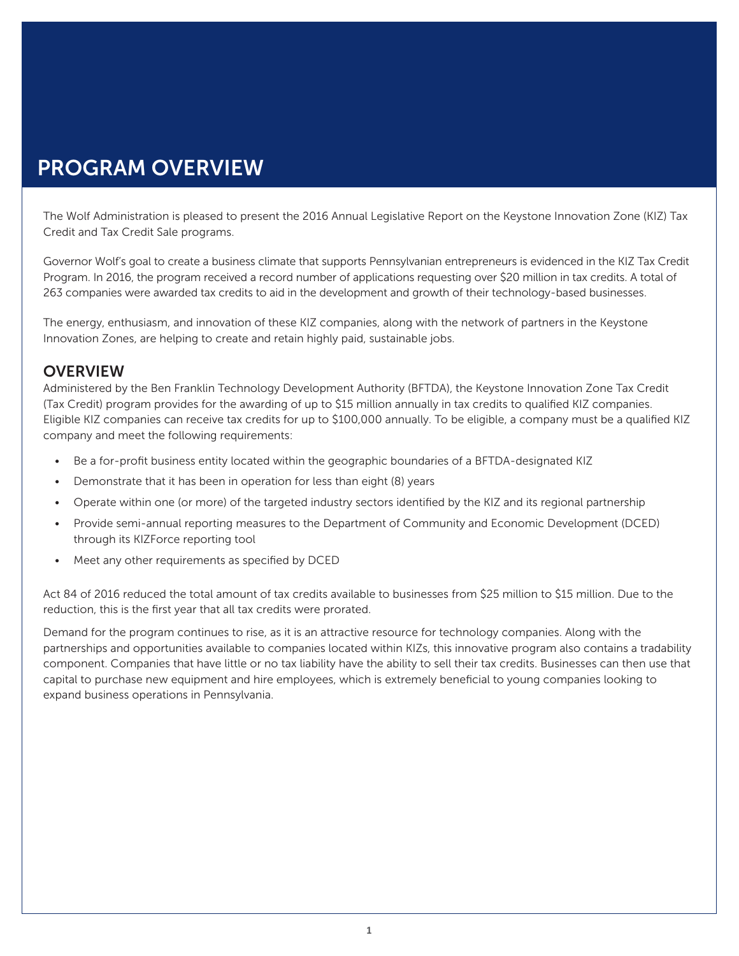## PROGRAM OVERVIEW

The Wolf Administration is pleased to present the 2016 Annual Legislative Report on the Keystone Innovation Zone (KIZ) Tax Credit and Tax Credit Sale programs.

Governor Wolf's goal to create a business climate that supports Pennsylvanian entrepreneurs is evidenced in the KIZ Tax Credit Program. In 2016, the program received a record number of applications requesting over \$20 million in tax credits. A total of 263 companies were awarded tax credits to aid in the development and growth of their technology-based businesses.

The energy, enthusiasm, and innovation of these KIZ companies, along with the network of partners in the Keystone Innovation Zones, are helping to create and retain highly paid, sustainable jobs.

#### **OVERVIEW**

Administered by the Ben Franklin Technology Development Authority (BFTDA), the Keystone Innovation Zone Tax Credit (Tax Credit) program provides for the awarding of up to \$15 million annually in tax credits to qualified KIZ companies. Eligible KIZ companies can receive tax credits for up to \$100,000 annually. To be eligible, a company must be a qualified KIZ company and meet the following requirements:

- Be a for-profit business entity located within the geographic boundaries of a BFTDA-designated KIZ
- Demonstrate that it has been in operation for less than eight (8) years
- Operate within one (or more) of the targeted industry sectors identified by the KIZ and its regional partnership
- Provide semi-annual reporting measures to the Department of Community and Economic Development (DCED) through its KIZForce reporting tool
- Meet any other requirements as specified by DCED

Act 84 of 2016 reduced the total amount of tax credits available to businesses from \$25 million to \$15 million. Due to the reduction, this is the first year that all tax credits were prorated.

Demand for the program continues to rise, as it is an attractive resource for technology companies. Along with the partnerships and opportunities available to companies located within KIZs, this innovative program also contains a tradability component. Companies that have little or no tax liability have the ability to sell their tax credits. Businesses can then use that capital to purchase new equipment and hire employees, which is extremely beneficial to young companies looking to expand business operations in Pennsylvania.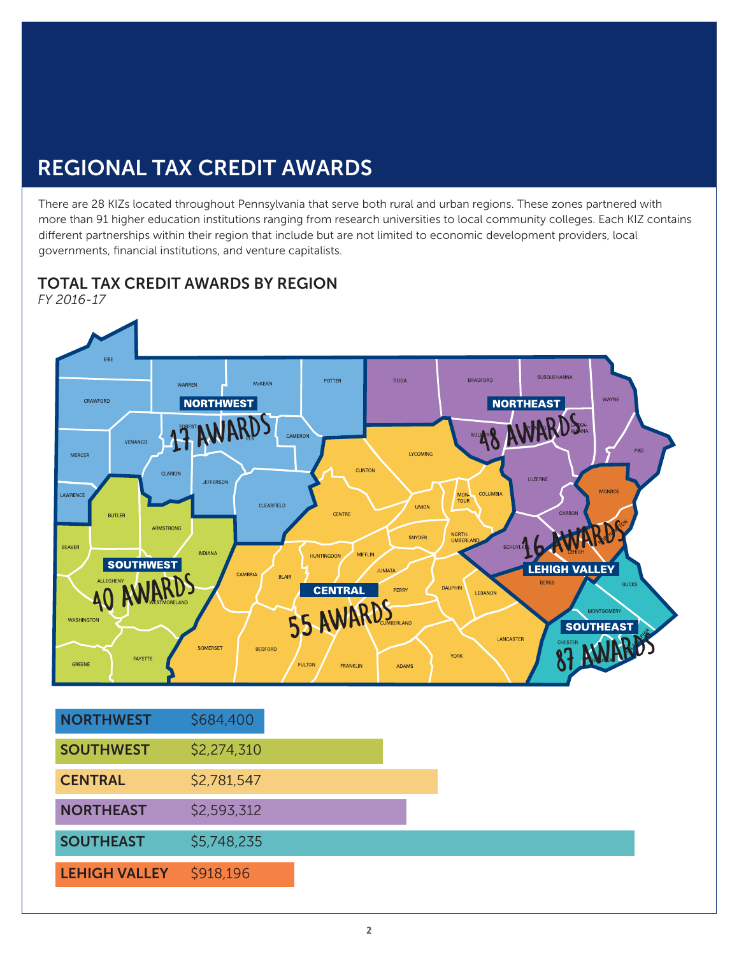## REGIONAL TAX CREDIT AWARDS

There are 28 KIZs located throughout Pennsylvania that serve both rural and urban regions. These zones partnered with more than 91 higher education institutions ranging from research universities to local community colleges. Each KIZ contains different partnerships within their region that include but are not limited to economic development providers, local governments, financial institutions, and venture capitalists.

TOTAL TAX CREDIT AWARDS BY REGION *FY 2016-17*



**SOUTHEAST** \$5,748,235

### LEHIGH VALLEY \$918,196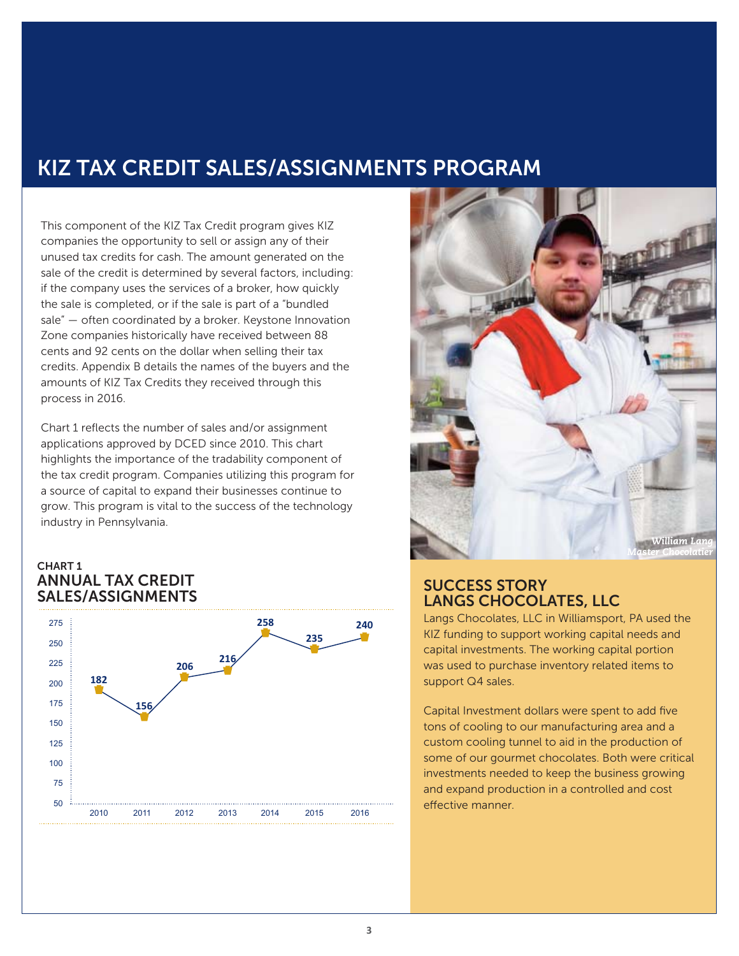## KIZ TAX CREDIT SALES/ASSIGNMENTS PROGRAM

This component of the KIZ Tax Credit program gives KIZ companies the opportunity to sell or assign any of their unused tax credits for cash. The amount generated on the sale of the credit is determined by several factors, including: if the company uses the services of a broker, how quickly the sale is completed, or if the sale is part of a "bundled sale" — often coordinated by a broker. Keystone Innovation Zone companies historically have received between 88 cents and 92 cents on the dollar when selling their tax credits. Appendix B details the names of the buyers and the amounts of KIZ Tax Credits they received through this process in 2016.

Chart 1 reflects the number of sales and/or assignment applications approved by DCED since 2010. This chart highlights the importance of the tradability component of the tax credit program. Companies utilizing this program for a source of capital to expand their businesses continue to grow. This program is vital to the success of the technology industry in Pennsylvania.

#### CHART 1 ANNUAL TAX CREDIT SALES/ASSIGNMENTS





#### SUCCESS STORY LANGS CHOCOLATES, LLC

Langs Chocolates, LLC in Williamsport, PA used the KIZ funding to support working capital needs and capital investments. The working capital portion was used to purchase inventory related items to support Q4 sales.

Capital Investment dollars were spent to add five tons of cooling to our manufacturing area and a custom cooling tunnel to aid in the production of some of our gourmet chocolates. Both were critical investments needed to keep the business growing and expand production in a controlled and cost effective manner.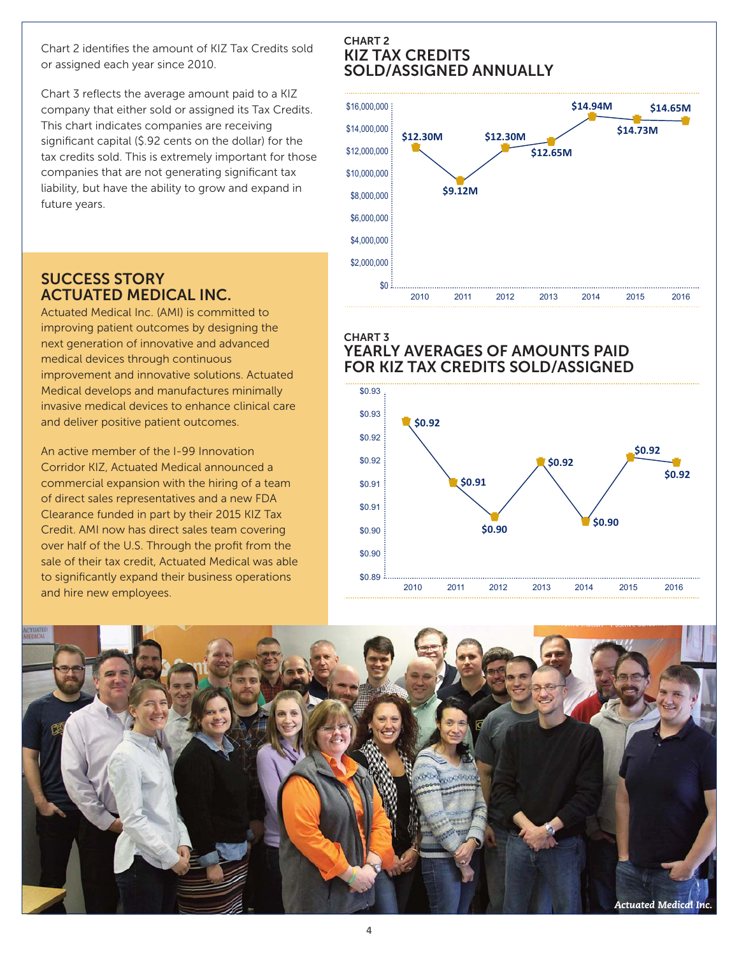Chart 2 identifies the amount of KIZ Tax Credits sold or assigned each year since 2010.

Chart 3 reflects the average amount paid to a KIZ company that either sold or assigned its Tax Credits. This chart indicates companies are receiving significant capital (\$.92 cents on the dollar) for the tax credits sold. This is extremely important for those companies that are not generating significant tax liability, but have the ability to grow and expand in future years.

#### \$16,000,000 \$14,000,000 \$12,000,000 \$10,000,000 \$8,000,000 \$6,000,000 \$4,000,000 \$2,000,000 **\$12.30M \$9.12M \$12.30M \$12.65M \$14.94M \$14.73M \$14.65M** SOLD/ASSIGNED ANNUALLY

#### SUCCESS STORY ACTUATED MEDICAL INC.

Actuated Medical Inc. (AMI) is committed to improving patient outcomes by designing the next generation of innovative and advanced medical devices through continuous improvement and innovative solutions. Actuated Medical develops and manufactures minimally invasive medical devices to enhance clinical care and deliver positive patient outcomes.

An active member of the I-99 Innovation Corridor KIZ, Actuated Medical announced a commercial expansion with the hiring of a team of direct sales representatives and a new FDA Clearance funded in part by their 2015 KIZ Tax Credit. AMI now has direct sales team covering over half of the U.S. Through the profit from the sale of their tax credit, Actuated Medical was able to significantly expand their business operations and hire new employees.

#### CHART 3 YEARLY AVERAGES OF AMOUNTS PAID FOR KIZ TAX CREDITS SOLD/ASSIGNED

2010 2012 2013 2014

2011 2015 2016





 $$0$ 

CHART 2

KIZ TAX CREDITS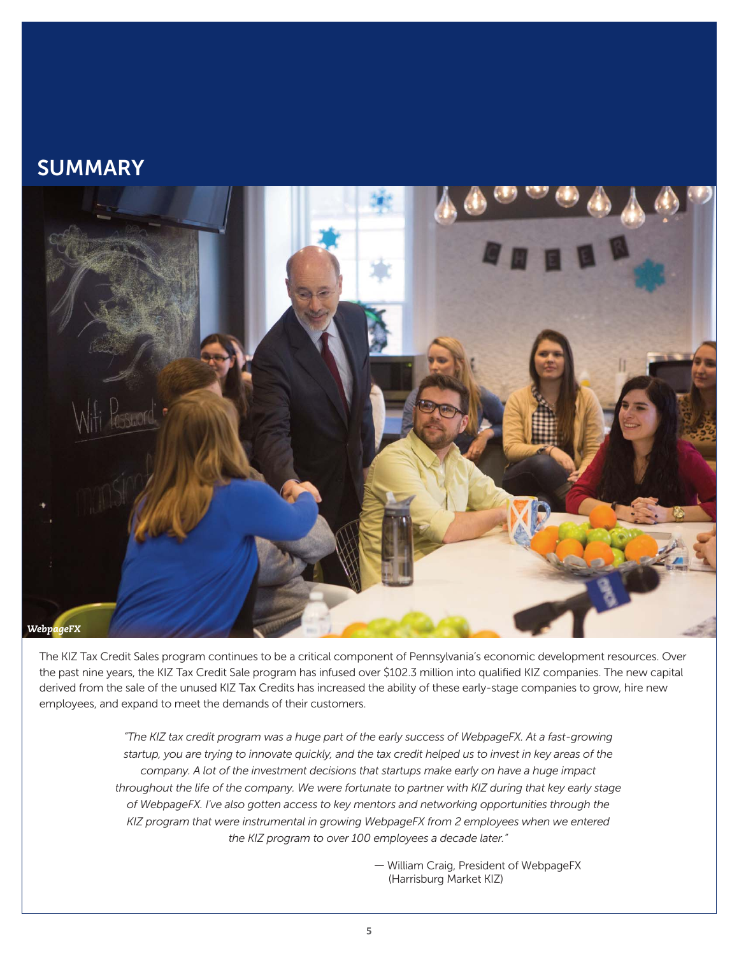### **SUMMARY**



The KIZ Tax Credit Sales program continues to be a critical component of Pennsylvania's economic development resources. Over the past nine years, the KIZ Tax Credit Sale program has infused over \$102.3 million into qualified KIZ companies. The new capital derived from the sale of the unused KIZ Tax Credits has increased the ability of these early-stage companies to grow, hire new employees, and expand to meet the demands of their customers.

> *"The KIZ tax credit program was a huge part of the early success of WebpageFX. At a fast-growing startup, you are trying to innovate quickly, and the tax credit helped us to invest in key areas of the company. A lot of the investment decisions that startups make early on have a huge impact throughout the life of the company. We were fortunate to partner with KIZ during that key early stage of WebpageFX. I've also gotten access to key mentors and networking opportunities through the KIZ program that were instrumental in growing WebpageFX from 2 employees when we entered the KIZ program to over 100 employees a decade later."*

> > ― William Craig, President of WebpageFX (Harrisburg Market KIZ)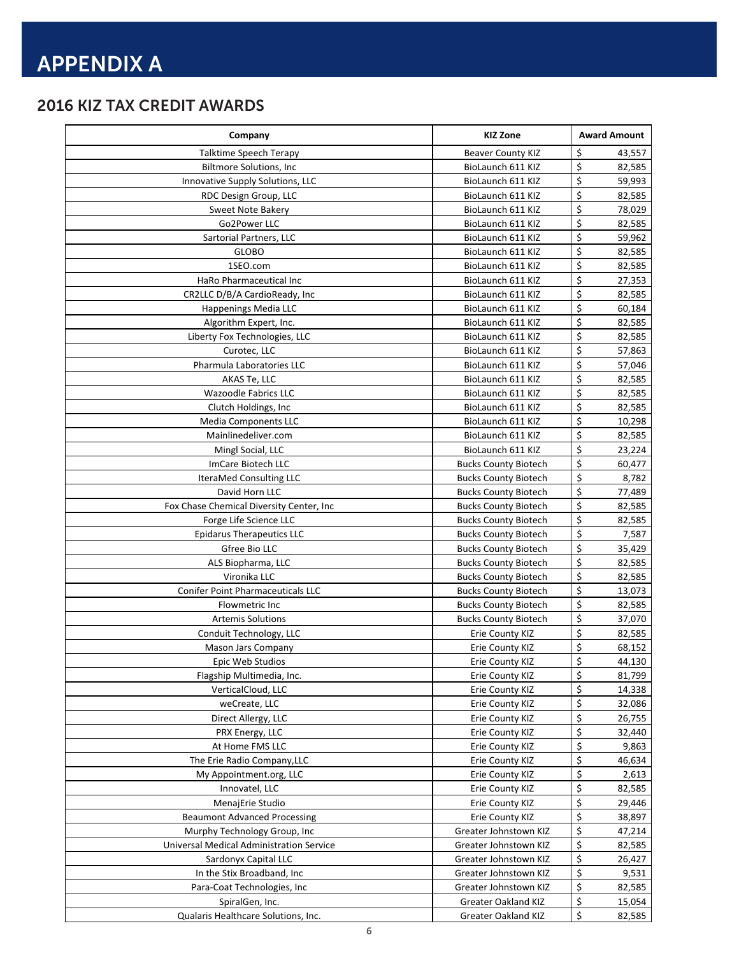### 2016 KIZ TAX CREDIT AWARDS

| Company                                  | <b>KIZ Zone</b>             | <b>Award Amount</b> |
|------------------------------------------|-----------------------------|---------------------|
| Talktime Speech Terapy                   | <b>Beaver County KIZ</b>    | \$<br>43,557        |
| <b>Biltmore Solutions, Inc</b>           | BioLaunch 611 KIZ           | \$<br>82,585        |
| Innovative Supply Solutions, LLC         | BioLaunch 611 KIZ           | \$<br>59,993        |
| RDC Design Group, LLC                    | BioLaunch 611 KIZ           | \$<br>82,585        |
| Sweet Note Bakery                        | BioLaunch 611 KIZ           | \$<br>78,029        |
| Go2Power LLC                             | BioLaunch 611 KIZ           | \$<br>82,585        |
| Sartorial Partners, LLC                  | BioLaunch 611 KIZ           | \$<br>59,962        |
| <b>GLOBO</b>                             | BioLaunch 611 KIZ           | \$<br>82,585        |
| 1SEO.com                                 | BioLaunch 611 KIZ           | \$<br>82,585        |
| HaRo Pharmaceutical Inc                  | BioLaunch 611 KIZ           | \$<br>27,353        |
| CR2LLC D/B/A CardioReady, Inc.           | BioLaunch 611 KIZ           | \$<br>82,585        |
| Happenings Media LLC                     | BioLaunch 611 KIZ           | \$<br>60,184        |
| Algorithm Expert, Inc.                   | BioLaunch 611 KIZ           | \$<br>82,585        |
| Liberty Fox Technologies, LLC            | BioLaunch 611 KIZ           | \$<br>82,585        |
| Curotec, LLC                             | BioLaunch 611 KIZ           | \$<br>57,863        |
| Pharmula Laboratories LLC                | BioLaunch 611 KIZ           | \$<br>57,046        |
| AKAS Te, LLC                             | BioLaunch 611 KIZ           | \$<br>82,585        |
| <b>Wazoodle Fabrics LLC</b>              | BioLaunch 611 KIZ           | \$<br>82,585        |
| Clutch Holdings, Inc.                    | BioLaunch 611 KIZ           | \$<br>82,585        |
| <b>Media Components LLC</b>              | BioLaunch 611 KIZ           | \$<br>10,298        |
| Mainlinedeliver.com                      | BioLaunch 611 KIZ           | \$<br>82,585        |
| Mingl Social, LLC                        | BioLaunch 611 KIZ           | \$<br>23,224        |
| ImCare Biotech LLC                       | <b>Bucks County Biotech</b> | \$<br>60,477        |
|                                          |                             | \$                  |
| IteraMed Consulting LLC                  | <b>Bucks County Biotech</b> | 8,782               |
| David Horn LLC                           | <b>Bucks County Biotech</b> | \$<br>77,489        |
| Fox Chase Chemical Diversity Center, Inc | <b>Bucks County Biotech</b> | \$<br>82,585        |
| Forge Life Science LLC                   | <b>Bucks County Biotech</b> | \$<br>82,585        |
| <b>Epidarus Therapeutics LLC</b>         | <b>Bucks County Biotech</b> | \$<br>7,587         |
| Gfree Bio LLC                            | <b>Bucks County Biotech</b> | \$<br>35,429        |
| ALS Biopharma, LLC                       | <b>Bucks County Biotech</b> | \$<br>82,585        |
| Vironika LLC                             | <b>Bucks County Biotech</b> | \$<br>82,585        |
| <b>Conifer Point Pharmaceuticals LLC</b> | <b>Bucks County Biotech</b> | \$<br>13,073        |
| Flowmetric Inc                           | <b>Bucks County Biotech</b> | \$<br>82,585        |
| <b>Artemis Solutions</b>                 | <b>Bucks County Biotech</b> | \$<br>37,070        |
| Conduit Technology, LLC                  | Erie County KIZ             | \$<br>82,585        |
| <b>Mason Jars Company</b>                | Erie County KIZ             | \$<br>68,152        |
| Epic Web Studios                         | Erie County KIZ             | \$<br>44,130        |
| Flagship Multimedia, Inc.                | Erie County KIZ             | \$<br>81,799        |
| VerticalCloud, LLC                       | Erie County KIZ             | \$<br>14,338        |
| weCreate, LLC                            | Erie County KIZ             | \$<br>32,086        |
| Direct Allergy, LLC                      | Erie County KIZ             | \$<br>26,755        |
| PRX Energy, LLC                          | Erie County KIZ             | \$<br>32,440        |
| At Home FMS LLC                          | Erie County KIZ             | \$<br>9,863         |
| The Erie Radio Company, LLC              | Erie County KIZ             | \$<br>46,634        |
| My Appointment.org, LLC                  | Erie County KIZ             | \$<br>2,613         |
| Innovatel, LLC                           | Erie County KIZ             | \$<br>82,585        |
| MenajErie Studio                         | Erie County KIZ             | \$<br>29,446        |
| <b>Beaumont Advanced Processing</b>      | Erie County KIZ             | \$<br>38,897        |
| Murphy Technology Group, Inc.            | Greater Johnstown KIZ       | \$<br>47,214        |
| Universal Medical Administration Service | Greater Johnstown KIZ       | \$<br>82,585        |
| Sardonyx Capital LLC                     | Greater Johnstown KIZ       | \$<br>26,427        |
| In the Stix Broadband, Inc               | Greater Johnstown KIZ       | \$<br>9,531         |
| Para-Coat Technologies, Inc              | Greater Johnstown KIZ       | \$<br>82,585        |
| SpiralGen, Inc.                          | <b>Greater Oakland KIZ</b>  | \$<br>15,054        |
| Qualaris Healthcare Solutions, Inc.      | Greater Oakland KIZ         | \$<br>82,585        |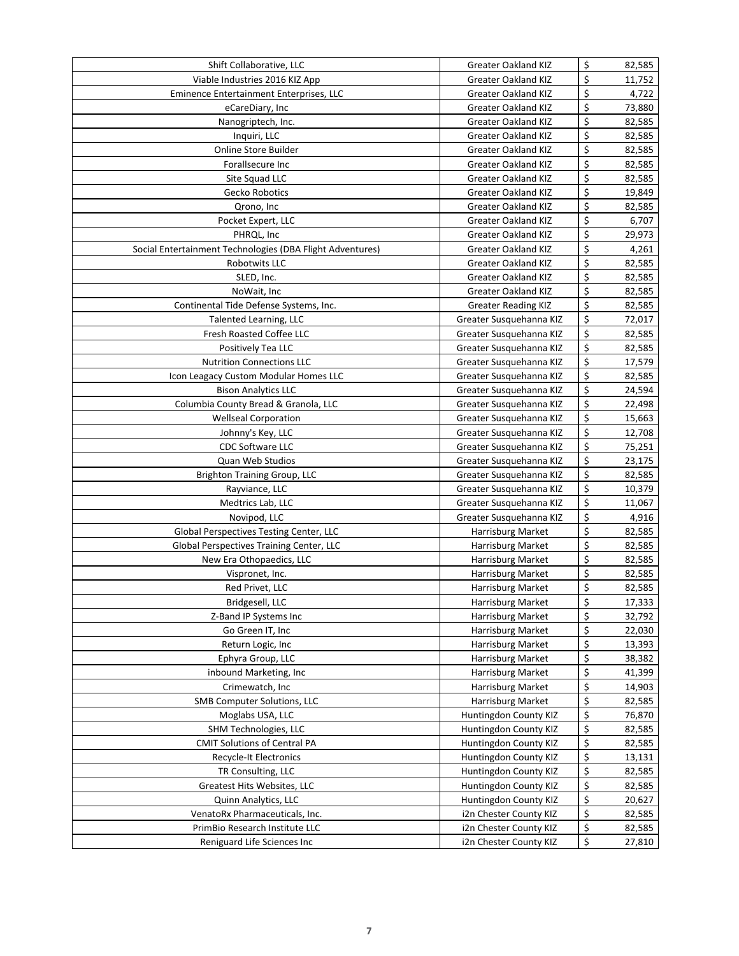| Shift Collaborative, LLC                                  | <b>Greater Oakland KIZ</b> | \$<br>82,585 |
|-----------------------------------------------------------|----------------------------|--------------|
| Viable Industries 2016 KIZ App                            | <b>Greater Oakland KIZ</b> | \$<br>11,752 |
| Eminence Entertainment Enterprises, LLC                   | <b>Greater Oakland KIZ</b> | \$<br>4,722  |
| eCareDiary, Inc                                           | <b>Greater Oakland KIZ</b> | \$<br>73,880 |
| Nanogriptech, Inc.                                        | Greater Oakland KIZ        | \$<br>82,585 |
| Inquiri, LLC                                              | <b>Greater Oakland KIZ</b> | \$<br>82,585 |
| Online Store Builder                                      | <b>Greater Oakland KIZ</b> | \$<br>82,585 |
| Forallsecure Inc                                          | <b>Greater Oakland KIZ</b> | \$<br>82,585 |
| Site Squad LLC                                            | <b>Greater Oakland KIZ</b> | \$<br>82,585 |
| Gecko Robotics                                            | <b>Greater Oakland KIZ</b> | \$<br>19,849 |
| Qrono, Inc                                                | <b>Greater Oakland KIZ</b> | \$<br>82,585 |
| Pocket Expert, LLC                                        | <b>Greater Oakland KIZ</b> | \$<br>6,707  |
| PHRQL, Inc                                                | <b>Greater Oakland KIZ</b> | \$<br>29,973 |
| Social Entertainment Technologies (DBA Flight Adventures) | <b>Greater Oakland KIZ</b> | \$<br>4,261  |
| Robotwits LLC                                             | <b>Greater Oakland KIZ</b> | \$<br>82,585 |
| SLED, Inc.                                                | Greater Oakland KIZ        | \$<br>82,585 |
| NoWait, Inc.                                              | Greater Oakland KIZ        | \$<br>82,585 |
| Continental Tide Defense Systems, Inc.                    | <b>Greater Reading KIZ</b> | \$<br>82,585 |
| Talented Learning, LLC                                    | Greater Susquehanna KIZ    | \$<br>72,017 |
| Fresh Roasted Coffee LLC                                  | Greater Susquehanna KIZ    | \$<br>82,585 |
| Positively Tea LLC                                        |                            | \$           |
|                                                           | Greater Susquehanna KIZ    | \$<br>82,585 |
| <b>Nutrition Connections LLC</b>                          | Greater Susquehanna KIZ    | 17,579       |
| Icon Leagacy Custom Modular Homes LLC                     | Greater Susquehanna KIZ    | \$<br>82,585 |
| <b>Bison Analytics LLC</b>                                | Greater Susquehanna KIZ    | \$<br>24,594 |
| Columbia County Bread & Granola, LLC                      | Greater Susquehanna KIZ    | \$<br>22,498 |
| <b>Wellseal Corporation</b>                               | Greater Susquehanna KIZ    | \$<br>15,663 |
| Johnny's Key, LLC                                         | Greater Susquehanna KIZ    | \$<br>12,708 |
| <b>CDC Software LLC</b>                                   | Greater Susquehanna KIZ    | \$<br>75,251 |
| Quan Web Studios                                          | Greater Susquehanna KIZ    | \$<br>23,175 |
| <b>Brighton Training Group, LLC</b>                       | Greater Susquehanna KIZ    | \$<br>82,585 |
| Rayviance, LLC                                            | Greater Susquehanna KIZ    | \$<br>10,379 |
| Medtrics Lab, LLC                                         | Greater Susquehanna KIZ    | \$<br>11,067 |
| Novipod, LLC                                              | Greater Susquehanna KIZ    | \$<br>4,916  |
| Global Perspectives Testing Center, LLC                   | Harrisburg Market          | \$<br>82,585 |
| Global Perspectives Training Center, LLC                  | Harrisburg Market          | \$<br>82,585 |
| New Era Othopaedics, LLC                                  | Harrisburg Market          | \$<br>82,585 |
| Vispronet, Inc.                                           | Harrisburg Market          | \$<br>82,585 |
| Red Privet, LLC                                           | Harrisburg Market          | \$<br>82,585 |
| Bridgesell, LLC                                           | Harrisburg Market          | \$<br>17,333 |
| Z-Band IP Systems Inc                                     | Harrisburg Market          | \$<br>32,792 |
| Go Green IT, Inc                                          | Harrisburg Market          | \$<br>22,030 |
| Return Logic, Inc                                         | Harrisburg Market          | \$<br>13,393 |
| Ephyra Group, LLC                                         | Harrisburg Market          | \$<br>38,382 |
| inbound Marketing, Inc                                    | Harrisburg Market          | \$<br>41,399 |
| Crimewatch, Inc                                           | Harrisburg Market          | \$<br>14,903 |
| SMB Computer Solutions, LLC                               | Harrisburg Market          | \$<br>82,585 |
| Moglabs USA, LLC                                          | Huntingdon County KIZ      | \$<br>76,870 |
| SHM Technologies, LLC                                     | Huntingdon County KIZ      | \$<br>82,585 |
| <b>CMIT Solutions of Central PA</b>                       | Huntingdon County KIZ      | \$<br>82,585 |
| Recycle-It Electronics                                    | Huntingdon County KIZ      | \$<br>13,131 |
| TR Consulting, LLC                                        | Huntingdon County KIZ      | \$<br>82,585 |
| Greatest Hits Websites, LLC                               | Huntingdon County KIZ      | \$<br>82,585 |
| Quinn Analytics, LLC                                      | Huntingdon County KIZ      | \$<br>20,627 |
| VenatoRx Pharmaceuticals, Inc.                            | i2n Chester County KIZ     | \$<br>82,585 |
| PrimBio Research Institute LLC                            | i2n Chester County KIZ     | \$<br>82,585 |
| Reniguard Life Sciences Inc                               | i2n Chester County KIZ     | \$<br>27,810 |
|                                                           |                            |              |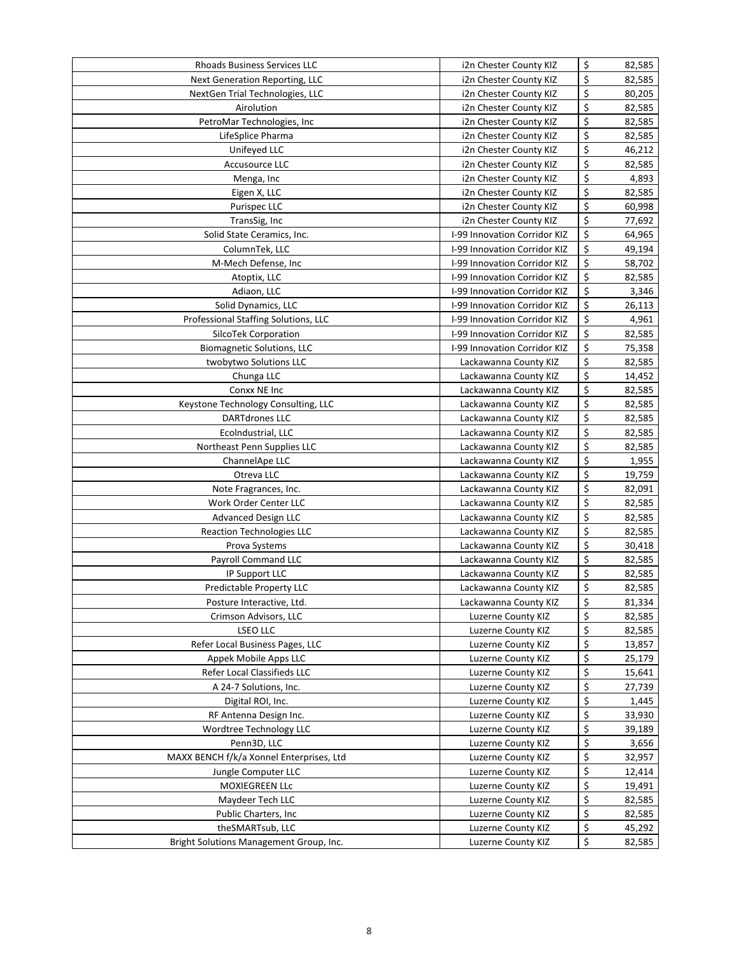| <b>Rhoads Business Services LLC</b>      | i2n Chester County KIZ       | \$       | 82,585 |
|------------------------------------------|------------------------------|----------|--------|
| <b>Next Generation Reporting, LLC</b>    | i2n Chester County KIZ       | \$       | 82,585 |
| NextGen Trial Technologies, LLC          | i2n Chester County KIZ       | \$       | 80,205 |
| Airolution                               | i2n Chester County KIZ       | \$       | 82,585 |
| PetroMar Technologies, Inc               | i2n Chester County KIZ       | \$       | 82,585 |
| LifeSplice Pharma                        | i2n Chester County KIZ       | \$       | 82,585 |
| Unifeyed LLC                             | i2n Chester County KIZ       | \$       | 46,212 |
| <b>Accusource LLC</b>                    | i2n Chester County KIZ       | \$       | 82,585 |
| Menga, Inc                               | i2n Chester County KIZ       | \$       | 4,893  |
| Eigen X, LLC                             | i2n Chester County KIZ       | \$       | 82,585 |
| <b>Purispec LLC</b>                      | i2n Chester County KIZ       | \$       | 60,998 |
| TransSig, Inc                            | i2n Chester County KIZ       | \$       | 77,692 |
| Solid State Ceramics, Inc.               | I-99 Innovation Corridor KIZ | \$       | 64,965 |
| ColumnTek, LLC                           | I-99 Innovation Corridor KIZ | \$       | 49,194 |
| M-Mech Defense, Inc.                     | I-99 Innovation Corridor KIZ | \$       | 58,702 |
| Atoptix, LLC                             | I-99 Innovation Corridor KIZ | \$       | 82,585 |
| Adiaon, LLC                              | I-99 Innovation Corridor KIZ | \$       | 3,346  |
| Solid Dynamics, LLC                      | I-99 Innovation Corridor KIZ | \$       | 26,113 |
| Professional Staffing Solutions, LLC     | I-99 Innovation Corridor KIZ | \$       | 4,961  |
| SilcoTek Corporation                     | I-99 Innovation Corridor KIZ | \$       | 82,585 |
| <b>Biomagnetic Solutions, LLC</b>        | I-99 Innovation Corridor KIZ | \$       | 75,358 |
| twobytwo Solutions LLC                   | Lackawanna County KIZ        | \$       | 82,585 |
| Chunga LLC                               | Lackawanna County KIZ        | \$       | 14,452 |
| Conxx NE Inc                             | Lackawanna County KIZ        | \$       | 82,585 |
| Keystone Technology Consulting, LLC      | Lackawanna County KIZ        | \$       | 82,585 |
| <b>DARTdrones LLC</b>                    | Lackawanna County KIZ        | \$       | 82,585 |
| Ecolndustrial, LLC                       | Lackawanna County KIZ        | \$       | 82,585 |
| Northeast Penn Supplies LLC              | Lackawanna County KIZ        | \$       | 82,585 |
| ChannelApe LLC                           | Lackawanna County KIZ        | \$       | 1,955  |
| Otreva LLC                               | Lackawanna County KIZ        | \$       | 19,759 |
| Note Fragrances, Inc.                    | Lackawanna County KIZ        | \$       | 82,091 |
| Work Order Center LLC                    | Lackawanna County KIZ        | \$       | 82,585 |
| <b>Advanced Design LLC</b>               | Lackawanna County KIZ        | \$       | 82,585 |
| <b>Reaction Technologies LLC</b>         | Lackawanna County KIZ        | \$       | 82,585 |
| Prova Systems                            | Lackawanna County KIZ        | \$       | 30,418 |
| Payroll Command LLC                      | Lackawanna County KIZ        | \$       | 82,585 |
| IP Support LLC                           | Lackawanna County KIZ        | \$       | 82,585 |
| Predictable Property LLC                 | Lackawanna County KIZ        | \$       | 82,585 |
| Posture Interactive, Ltd.                | Lackawanna County KIZ        |          | 81,334 |
| Crimson Advisors, LLC                    | Luzerne County KIZ           | \$<br>\$ | 82,585 |
| LSEO LLC                                 | Luzerne County KIZ           | \$       | 82,585 |
| Refer Local Business Pages, LLC          | Luzerne County KIZ           | \$       |        |
| Appek Mobile Apps LLC                    | Luzerne County KIZ           | \$       | 13,857 |
|                                          |                              | \$       | 25,179 |
| Refer Local Classifieds LLC              | Luzerne County KIZ           | \$       | 15,641 |
| A 24-7 Solutions, Inc.                   | Luzerne County KIZ           | \$       | 27,739 |
| Digital ROI, Inc.                        | Luzerne County KIZ           |          | 1,445  |
| RF Antenna Design Inc.                   | Luzerne County KIZ           | \$       | 33,930 |
| Wordtree Technology LLC                  | Luzerne County KIZ           | \$       | 39,189 |
| Penn3D, LLC                              | Luzerne County KIZ           | \$       | 3,656  |
| MAXX BENCH f/k/a Xonnel Enterprises, Ltd | Luzerne County KIZ           | \$       | 32,957 |
| Jungle Computer LLC                      | Luzerne County KIZ           | \$       | 12,414 |
| MOXIEGREEN LLc                           | Luzerne County KIZ           | \$       | 19,491 |
| Maydeer Tech LLC                         | Luzerne County KIZ           | \$       | 82,585 |
| Public Charters, Inc                     | Luzerne County KIZ           | \$       | 82,585 |
| theSMARTsub, LLC                         | Luzerne County KIZ           | \$       | 45,292 |
| Bright Solutions Management Group, Inc.  | Luzerne County KIZ           | \$       | 82,585 |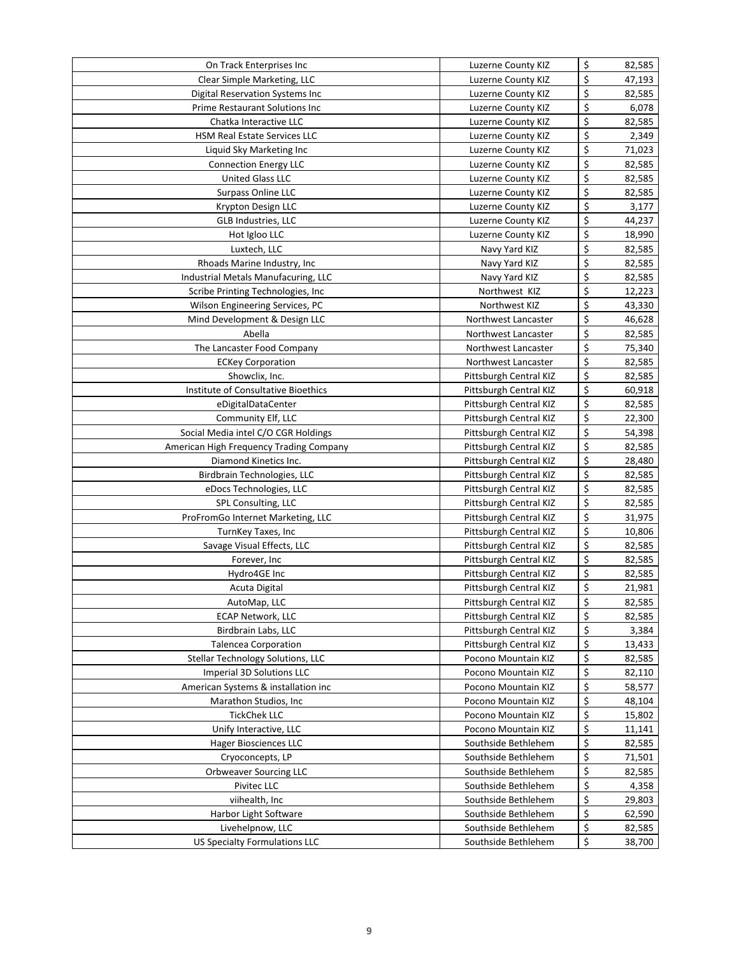| On Track Enterprises Inc                | Luzerne County KIZ     | \$<br>82,585 |
|-----------------------------------------|------------------------|--------------|
| Clear Simple Marketing, LLC             | Luzerne County KIZ     | \$<br>47,193 |
| Digital Reservation Systems Inc         | Luzerne County KIZ     | \$<br>82,585 |
| Prime Restaurant Solutions Inc          | Luzerne County KIZ     | \$<br>6,078  |
| Chatka Interactive LLC                  | Luzerne County KIZ     | \$<br>82,585 |
| HSM Real Estate Services LLC            | Luzerne County KIZ     | \$<br>2,349  |
| Liquid Sky Marketing Inc                | Luzerne County KIZ     | \$<br>71,023 |
| <b>Connection Energy LLC</b>            | Luzerne County KIZ     | \$<br>82,585 |
| <b>United Glass LLC</b>                 | Luzerne County KIZ     | \$<br>82,585 |
| <b>Surpass Online LLC</b>               | Luzerne County KIZ     | \$<br>82,585 |
| Krypton Design LLC                      | Luzerne County KIZ     | \$<br>3,177  |
| <b>GLB Industries, LLC</b>              | Luzerne County KIZ     | \$<br>44,237 |
| Hot Igloo LLC                           | Luzerne County KIZ     | \$<br>18,990 |
| Luxtech, LLC                            | Navy Yard KIZ          | \$<br>82,585 |
| Rhoads Marine Industry, Inc.            | Navy Yard KIZ          | \$<br>82,585 |
| Industrial Metals Manufacuring, LLC     | Navy Yard KIZ          | \$<br>82,585 |
| Scribe Printing Technologies, Inc       | Northwest KIZ          | \$<br>12,223 |
| Wilson Engineering Services, PC         | Northwest KIZ          | \$<br>43,330 |
| Mind Development & Design LLC           | Northwest Lancaster    | \$<br>46,628 |
| Abella                                  | Northwest Lancaster    | \$<br>82,585 |
| The Lancaster Food Company              | Northwest Lancaster    | \$<br>75,340 |
| <b>ECKey Corporation</b>                | Northwest Lancaster    | \$<br>82,585 |
| Showclix, Inc.                          | Pittsburgh Central KIZ | \$<br>82,585 |
| Institute of Consultative Bioethics     | Pittsburgh Central KIZ | \$<br>60,918 |
| eDigitalDataCenter                      | Pittsburgh Central KIZ | \$<br>82,585 |
| Community Elf, LLC                      | Pittsburgh Central KIZ | \$<br>22,300 |
| Social Media intel C/O CGR Holdings     | Pittsburgh Central KIZ | \$<br>54,398 |
| American High Frequency Trading Company | Pittsburgh Central KIZ | \$<br>82,585 |
| Diamond Kinetics Inc.                   | Pittsburgh Central KIZ | \$<br>28,480 |
| Birdbrain Technologies, LLC             | Pittsburgh Central KIZ | \$<br>82,585 |
| eDocs Technologies, LLC                 | Pittsburgh Central KIZ | \$<br>82,585 |
| SPL Consulting, LLC                     | Pittsburgh Central KIZ | \$<br>82,585 |
| ProFromGo Internet Marketing, LLC       | Pittsburgh Central KIZ | \$<br>31,975 |
| TurnKey Taxes, Inc                      | Pittsburgh Central KIZ | \$<br>10,806 |
| Savage Visual Effects, LLC              | Pittsburgh Central KIZ | \$<br>82,585 |
| Forever, Inc                            | Pittsburgh Central KIZ | \$<br>82,585 |
| Hydro4GE Inc                            | Pittsburgh Central KIZ | \$<br>82,585 |
| Acuta Digital                           | Pittsburgh Central KIZ | \$<br>21,981 |
| AutoMap, LLC                            | Pittsburgh Central KIZ | \$<br>82,585 |
| <b>ECAP Network, LLC</b>                | Pittsburgh Central KIZ | \$<br>82,585 |
| Birdbrain Labs, LLC                     | Pittsburgh Central KIZ | \$<br>3,384  |
| <b>Talencea Corporation</b>             | Pittsburgh Central KIZ | \$<br>13,433 |
| Stellar Technology Solutions, LLC       | Pocono Mountain KIZ    | \$<br>82,585 |
| Imperial 3D Solutions LLC               | Pocono Mountain KIZ    | \$<br>82,110 |
| American Systems & installation inc     | Pocono Mountain KIZ    | \$<br>58,577 |
| Marathon Studios, Inc                   | Pocono Mountain KIZ    | \$<br>48,104 |
| <b>TickChek LLC</b>                     | Pocono Mountain KIZ    | \$<br>15,802 |
| Unify Interactive, LLC                  | Pocono Mountain KIZ    | \$<br>11,141 |
| <b>Hager Biosciences LLC</b>            | Southside Bethlehem    | \$<br>82,585 |
| Cryoconcepts, LP                        | Southside Bethlehem    | \$<br>71,501 |
| Orbweaver Sourcing LLC                  | Southside Bethlehem    | \$<br>82,585 |
| Pivitec LLC                             | Southside Bethlehem    | \$<br>4,358  |
| viihealth, Inc                          | Southside Bethlehem    | \$<br>29,803 |
| Harbor Light Software                   | Southside Bethlehem    | \$<br>62,590 |
| Livehelpnow, LLC                        | Southside Bethlehem    | \$<br>82,585 |
| US Specialty Formulations LLC           | Southside Bethlehem    | \$<br>38,700 |
|                                         |                        |              |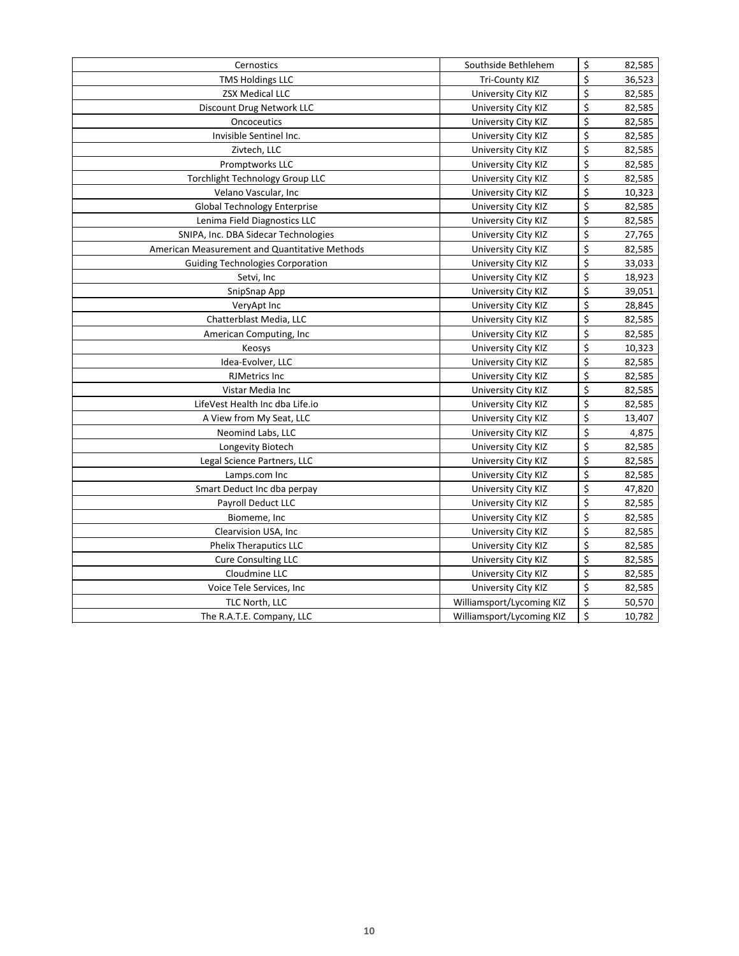| \$<br>82,585<br>Cernostics<br>Southside Bethlehem<br>\$<br><b>TMS Holdings LLC</b><br>36,523<br><b>Tri-County KIZ</b><br>\$<br><b>ZSX Medical LLC</b><br>82,585<br>University City KIZ<br>\$<br>82,585<br>University City KIZ<br>Discount Drug Network LLC<br>\$<br>82,585<br>Oncoceutics<br>University City KIZ<br>\$<br>82,585<br>Invisible Sentinel Inc.<br>University City KIZ<br>\$<br>Zivtech, LLC<br>82,585<br>University City KIZ<br>\$<br>Promptworks LLC<br>University City KIZ<br>82,585<br>\$<br>Torchlight Technology Group LLC<br>82,585<br>University City KIZ<br>\$<br>Velano Vascular, Inc<br>University City KIZ<br>10,323<br>\$<br>82,585<br>Global Technology Enterprise<br>University City KIZ<br>\$<br>Lenima Field Diagnostics LLC<br>82,585<br>University City KIZ<br>\$<br>SNIPA, Inc. DBA Sidecar Technologies<br>27,765<br>University City KIZ<br>\$<br>American Measurement and Quantitative Methods<br>82,585<br>University City KIZ<br>\$<br><b>Guiding Technologies Corporation</b><br>University City KIZ<br>33,033<br>\$<br>18,923<br>Setvi, Inc<br>University City KIZ<br>\$<br>39,051<br>SnipSnap App<br>University City KIZ<br>\$<br>28,845<br>VeryApt Inc<br>University City KIZ<br>\$<br>82,585<br>Chatterblast Media, LLC<br>University City KIZ<br>\$<br>82,585<br>University City KIZ<br>American Computing, Inc.<br>Ś.<br>10,323<br>University City KIZ<br>Keosys<br>\$<br>82,585<br>Idea-Evolver, LLC<br>University City KIZ<br>\$<br><b>RJMetrics Inc</b><br>University City KIZ<br>82,585<br>\$<br>Vistar Media Inc<br>University City KIZ<br>82,585<br>\$<br>LifeVest Health Inc dba Life.io<br>82,585<br>University City KIZ<br>\$<br>A View from My Seat, LLC<br>University City KIZ<br>13,407<br>\$<br>4,875<br>Neomind Labs, LLC<br>University City KIZ<br>\$<br>82,585<br>Longevity Biotech<br>University City KIZ<br>\$<br>Legal Science Partners, LLC<br>University City KIZ<br>82,585<br>\$<br>Lamps.com Inc<br>University City KIZ<br>82,585<br>\$<br>47,820<br>Smart Deduct Inc dba perpay<br>University City KIZ<br>\$<br>Payroll Deduct LLC<br>University City KIZ<br>82,585<br>\$<br>82,585<br>Biomeme, Inc<br>University City KIZ<br>\$<br>Clearvision USA, Inc<br>University City KIZ<br>82,585<br>\$<br><b>Phelix Theraputics LLC</b><br>82,585<br>University City KIZ<br>\$<br>82,585<br><b>Cure Consulting LLC</b><br>University City KIZ<br>\$<br>Cloudmine LLC<br>82,585<br>University City KIZ<br>\$<br>Voice Tele Services, Inc<br>University City KIZ<br>82,585<br>\$<br>TLC North, LLC<br>Williamsport/Lycoming KIZ<br>50,570<br>\$<br>10,782<br>The R.A.T.E. Company, LLC<br>Williamsport/Lycoming KIZ |  |  |
|-------------------------------------------------------------------------------------------------------------------------------------------------------------------------------------------------------------------------------------------------------------------------------------------------------------------------------------------------------------------------------------------------------------------------------------------------------------------------------------------------------------------------------------------------------------------------------------------------------------------------------------------------------------------------------------------------------------------------------------------------------------------------------------------------------------------------------------------------------------------------------------------------------------------------------------------------------------------------------------------------------------------------------------------------------------------------------------------------------------------------------------------------------------------------------------------------------------------------------------------------------------------------------------------------------------------------------------------------------------------------------------------------------------------------------------------------------------------------------------------------------------------------------------------------------------------------------------------------------------------------------------------------------------------------------------------------------------------------------------------------------------------------------------------------------------------------------------------------------------------------------------------------------------------------------------------------------------------------------------------------------------------------------------------------------------------------------------------------------------------------------------------------------------------------------------------------------------------------------------------------------------------------------------------------------------------------------------------------------------------------------------------------------------------------------------------------------------------------------------------------------------------------------------------------------------------------------------------------------------------------------------------------------------------------------|--|--|
|                                                                                                                                                                                                                                                                                                                                                                                                                                                                                                                                                                                                                                                                                                                                                                                                                                                                                                                                                                                                                                                                                                                                                                                                                                                                                                                                                                                                                                                                                                                                                                                                                                                                                                                                                                                                                                                                                                                                                                                                                                                                                                                                                                                                                                                                                                                                                                                                                                                                                                                                                                                                                                                                               |  |  |
|                                                                                                                                                                                                                                                                                                                                                                                                                                                                                                                                                                                                                                                                                                                                                                                                                                                                                                                                                                                                                                                                                                                                                                                                                                                                                                                                                                                                                                                                                                                                                                                                                                                                                                                                                                                                                                                                                                                                                                                                                                                                                                                                                                                                                                                                                                                                                                                                                                                                                                                                                                                                                                                                               |  |  |
|                                                                                                                                                                                                                                                                                                                                                                                                                                                                                                                                                                                                                                                                                                                                                                                                                                                                                                                                                                                                                                                                                                                                                                                                                                                                                                                                                                                                                                                                                                                                                                                                                                                                                                                                                                                                                                                                                                                                                                                                                                                                                                                                                                                                                                                                                                                                                                                                                                                                                                                                                                                                                                                                               |  |  |
|                                                                                                                                                                                                                                                                                                                                                                                                                                                                                                                                                                                                                                                                                                                                                                                                                                                                                                                                                                                                                                                                                                                                                                                                                                                                                                                                                                                                                                                                                                                                                                                                                                                                                                                                                                                                                                                                                                                                                                                                                                                                                                                                                                                                                                                                                                                                                                                                                                                                                                                                                                                                                                                                               |  |  |
|                                                                                                                                                                                                                                                                                                                                                                                                                                                                                                                                                                                                                                                                                                                                                                                                                                                                                                                                                                                                                                                                                                                                                                                                                                                                                                                                                                                                                                                                                                                                                                                                                                                                                                                                                                                                                                                                                                                                                                                                                                                                                                                                                                                                                                                                                                                                                                                                                                                                                                                                                                                                                                                                               |  |  |
|                                                                                                                                                                                                                                                                                                                                                                                                                                                                                                                                                                                                                                                                                                                                                                                                                                                                                                                                                                                                                                                                                                                                                                                                                                                                                                                                                                                                                                                                                                                                                                                                                                                                                                                                                                                                                                                                                                                                                                                                                                                                                                                                                                                                                                                                                                                                                                                                                                                                                                                                                                                                                                                                               |  |  |
|                                                                                                                                                                                                                                                                                                                                                                                                                                                                                                                                                                                                                                                                                                                                                                                                                                                                                                                                                                                                                                                                                                                                                                                                                                                                                                                                                                                                                                                                                                                                                                                                                                                                                                                                                                                                                                                                                                                                                                                                                                                                                                                                                                                                                                                                                                                                                                                                                                                                                                                                                                                                                                                                               |  |  |
|                                                                                                                                                                                                                                                                                                                                                                                                                                                                                                                                                                                                                                                                                                                                                                                                                                                                                                                                                                                                                                                                                                                                                                                                                                                                                                                                                                                                                                                                                                                                                                                                                                                                                                                                                                                                                                                                                                                                                                                                                                                                                                                                                                                                                                                                                                                                                                                                                                                                                                                                                                                                                                                                               |  |  |
|                                                                                                                                                                                                                                                                                                                                                                                                                                                                                                                                                                                                                                                                                                                                                                                                                                                                                                                                                                                                                                                                                                                                                                                                                                                                                                                                                                                                                                                                                                                                                                                                                                                                                                                                                                                                                                                                                                                                                                                                                                                                                                                                                                                                                                                                                                                                                                                                                                                                                                                                                                                                                                                                               |  |  |
|                                                                                                                                                                                                                                                                                                                                                                                                                                                                                                                                                                                                                                                                                                                                                                                                                                                                                                                                                                                                                                                                                                                                                                                                                                                                                                                                                                                                                                                                                                                                                                                                                                                                                                                                                                                                                                                                                                                                                                                                                                                                                                                                                                                                                                                                                                                                                                                                                                                                                                                                                                                                                                                                               |  |  |
|                                                                                                                                                                                                                                                                                                                                                                                                                                                                                                                                                                                                                                                                                                                                                                                                                                                                                                                                                                                                                                                                                                                                                                                                                                                                                                                                                                                                                                                                                                                                                                                                                                                                                                                                                                                                                                                                                                                                                                                                                                                                                                                                                                                                                                                                                                                                                                                                                                                                                                                                                                                                                                                                               |  |  |
|                                                                                                                                                                                                                                                                                                                                                                                                                                                                                                                                                                                                                                                                                                                                                                                                                                                                                                                                                                                                                                                                                                                                                                                                                                                                                                                                                                                                                                                                                                                                                                                                                                                                                                                                                                                                                                                                                                                                                                                                                                                                                                                                                                                                                                                                                                                                                                                                                                                                                                                                                                                                                                                                               |  |  |
|                                                                                                                                                                                                                                                                                                                                                                                                                                                                                                                                                                                                                                                                                                                                                                                                                                                                                                                                                                                                                                                                                                                                                                                                                                                                                                                                                                                                                                                                                                                                                                                                                                                                                                                                                                                                                                                                                                                                                                                                                                                                                                                                                                                                                                                                                                                                                                                                                                                                                                                                                                                                                                                                               |  |  |
|                                                                                                                                                                                                                                                                                                                                                                                                                                                                                                                                                                                                                                                                                                                                                                                                                                                                                                                                                                                                                                                                                                                                                                                                                                                                                                                                                                                                                                                                                                                                                                                                                                                                                                                                                                                                                                                                                                                                                                                                                                                                                                                                                                                                                                                                                                                                                                                                                                                                                                                                                                                                                                                                               |  |  |
|                                                                                                                                                                                                                                                                                                                                                                                                                                                                                                                                                                                                                                                                                                                                                                                                                                                                                                                                                                                                                                                                                                                                                                                                                                                                                                                                                                                                                                                                                                                                                                                                                                                                                                                                                                                                                                                                                                                                                                                                                                                                                                                                                                                                                                                                                                                                                                                                                                                                                                                                                                                                                                                                               |  |  |
|                                                                                                                                                                                                                                                                                                                                                                                                                                                                                                                                                                                                                                                                                                                                                                                                                                                                                                                                                                                                                                                                                                                                                                                                                                                                                                                                                                                                                                                                                                                                                                                                                                                                                                                                                                                                                                                                                                                                                                                                                                                                                                                                                                                                                                                                                                                                                                                                                                                                                                                                                                                                                                                                               |  |  |
|                                                                                                                                                                                                                                                                                                                                                                                                                                                                                                                                                                                                                                                                                                                                                                                                                                                                                                                                                                                                                                                                                                                                                                                                                                                                                                                                                                                                                                                                                                                                                                                                                                                                                                                                                                                                                                                                                                                                                                                                                                                                                                                                                                                                                                                                                                                                                                                                                                                                                                                                                                                                                                                                               |  |  |
|                                                                                                                                                                                                                                                                                                                                                                                                                                                                                                                                                                                                                                                                                                                                                                                                                                                                                                                                                                                                                                                                                                                                                                                                                                                                                                                                                                                                                                                                                                                                                                                                                                                                                                                                                                                                                                                                                                                                                                                                                                                                                                                                                                                                                                                                                                                                                                                                                                                                                                                                                                                                                                                                               |  |  |
|                                                                                                                                                                                                                                                                                                                                                                                                                                                                                                                                                                                                                                                                                                                                                                                                                                                                                                                                                                                                                                                                                                                                                                                                                                                                                                                                                                                                                                                                                                                                                                                                                                                                                                                                                                                                                                                                                                                                                                                                                                                                                                                                                                                                                                                                                                                                                                                                                                                                                                                                                                                                                                                                               |  |  |
|                                                                                                                                                                                                                                                                                                                                                                                                                                                                                                                                                                                                                                                                                                                                                                                                                                                                                                                                                                                                                                                                                                                                                                                                                                                                                                                                                                                                                                                                                                                                                                                                                                                                                                                                                                                                                                                                                                                                                                                                                                                                                                                                                                                                                                                                                                                                                                                                                                                                                                                                                                                                                                                                               |  |  |
|                                                                                                                                                                                                                                                                                                                                                                                                                                                                                                                                                                                                                                                                                                                                                                                                                                                                                                                                                                                                                                                                                                                                                                                                                                                                                                                                                                                                                                                                                                                                                                                                                                                                                                                                                                                                                                                                                                                                                                                                                                                                                                                                                                                                                                                                                                                                                                                                                                                                                                                                                                                                                                                                               |  |  |
|                                                                                                                                                                                                                                                                                                                                                                                                                                                                                                                                                                                                                                                                                                                                                                                                                                                                                                                                                                                                                                                                                                                                                                                                                                                                                                                                                                                                                                                                                                                                                                                                                                                                                                                                                                                                                                                                                                                                                                                                                                                                                                                                                                                                                                                                                                                                                                                                                                                                                                                                                                                                                                                                               |  |  |
|                                                                                                                                                                                                                                                                                                                                                                                                                                                                                                                                                                                                                                                                                                                                                                                                                                                                                                                                                                                                                                                                                                                                                                                                                                                                                                                                                                                                                                                                                                                                                                                                                                                                                                                                                                                                                                                                                                                                                                                                                                                                                                                                                                                                                                                                                                                                                                                                                                                                                                                                                                                                                                                                               |  |  |
|                                                                                                                                                                                                                                                                                                                                                                                                                                                                                                                                                                                                                                                                                                                                                                                                                                                                                                                                                                                                                                                                                                                                                                                                                                                                                                                                                                                                                                                                                                                                                                                                                                                                                                                                                                                                                                                                                                                                                                                                                                                                                                                                                                                                                                                                                                                                                                                                                                                                                                                                                                                                                                                                               |  |  |
|                                                                                                                                                                                                                                                                                                                                                                                                                                                                                                                                                                                                                                                                                                                                                                                                                                                                                                                                                                                                                                                                                                                                                                                                                                                                                                                                                                                                                                                                                                                                                                                                                                                                                                                                                                                                                                                                                                                                                                                                                                                                                                                                                                                                                                                                                                                                                                                                                                                                                                                                                                                                                                                                               |  |  |
|                                                                                                                                                                                                                                                                                                                                                                                                                                                                                                                                                                                                                                                                                                                                                                                                                                                                                                                                                                                                                                                                                                                                                                                                                                                                                                                                                                                                                                                                                                                                                                                                                                                                                                                                                                                                                                                                                                                                                                                                                                                                                                                                                                                                                                                                                                                                                                                                                                                                                                                                                                                                                                                                               |  |  |
|                                                                                                                                                                                                                                                                                                                                                                                                                                                                                                                                                                                                                                                                                                                                                                                                                                                                                                                                                                                                                                                                                                                                                                                                                                                                                                                                                                                                                                                                                                                                                                                                                                                                                                                                                                                                                                                                                                                                                                                                                                                                                                                                                                                                                                                                                                                                                                                                                                                                                                                                                                                                                                                                               |  |  |
|                                                                                                                                                                                                                                                                                                                                                                                                                                                                                                                                                                                                                                                                                                                                                                                                                                                                                                                                                                                                                                                                                                                                                                                                                                                                                                                                                                                                                                                                                                                                                                                                                                                                                                                                                                                                                                                                                                                                                                                                                                                                                                                                                                                                                                                                                                                                                                                                                                                                                                                                                                                                                                                                               |  |  |
|                                                                                                                                                                                                                                                                                                                                                                                                                                                                                                                                                                                                                                                                                                                                                                                                                                                                                                                                                                                                                                                                                                                                                                                                                                                                                                                                                                                                                                                                                                                                                                                                                                                                                                                                                                                                                                                                                                                                                                                                                                                                                                                                                                                                                                                                                                                                                                                                                                                                                                                                                                                                                                                                               |  |  |
|                                                                                                                                                                                                                                                                                                                                                                                                                                                                                                                                                                                                                                                                                                                                                                                                                                                                                                                                                                                                                                                                                                                                                                                                                                                                                                                                                                                                                                                                                                                                                                                                                                                                                                                                                                                                                                                                                                                                                                                                                                                                                                                                                                                                                                                                                                                                                                                                                                                                                                                                                                                                                                                                               |  |  |
|                                                                                                                                                                                                                                                                                                                                                                                                                                                                                                                                                                                                                                                                                                                                                                                                                                                                                                                                                                                                                                                                                                                                                                                                                                                                                                                                                                                                                                                                                                                                                                                                                                                                                                                                                                                                                                                                                                                                                                                                                                                                                                                                                                                                                                                                                                                                                                                                                                                                                                                                                                                                                                                                               |  |  |
|                                                                                                                                                                                                                                                                                                                                                                                                                                                                                                                                                                                                                                                                                                                                                                                                                                                                                                                                                                                                                                                                                                                                                                                                                                                                                                                                                                                                                                                                                                                                                                                                                                                                                                                                                                                                                                                                                                                                                                                                                                                                                                                                                                                                                                                                                                                                                                                                                                                                                                                                                                                                                                                                               |  |  |
|                                                                                                                                                                                                                                                                                                                                                                                                                                                                                                                                                                                                                                                                                                                                                                                                                                                                                                                                                                                                                                                                                                                                                                                                                                                                                                                                                                                                                                                                                                                                                                                                                                                                                                                                                                                                                                                                                                                                                                                                                                                                                                                                                                                                                                                                                                                                                                                                                                                                                                                                                                                                                                                                               |  |  |
|                                                                                                                                                                                                                                                                                                                                                                                                                                                                                                                                                                                                                                                                                                                                                                                                                                                                                                                                                                                                                                                                                                                                                                                                                                                                                                                                                                                                                                                                                                                                                                                                                                                                                                                                                                                                                                                                                                                                                                                                                                                                                                                                                                                                                                                                                                                                                                                                                                                                                                                                                                                                                                                                               |  |  |
|                                                                                                                                                                                                                                                                                                                                                                                                                                                                                                                                                                                                                                                                                                                                                                                                                                                                                                                                                                                                                                                                                                                                                                                                                                                                                                                                                                                                                                                                                                                                                                                                                                                                                                                                                                                                                                                                                                                                                                                                                                                                                                                                                                                                                                                                                                                                                                                                                                                                                                                                                                                                                                                                               |  |  |
|                                                                                                                                                                                                                                                                                                                                                                                                                                                                                                                                                                                                                                                                                                                                                                                                                                                                                                                                                                                                                                                                                                                                                                                                                                                                                                                                                                                                                                                                                                                                                                                                                                                                                                                                                                                                                                                                                                                                                                                                                                                                                                                                                                                                                                                                                                                                                                                                                                                                                                                                                                                                                                                                               |  |  |
|                                                                                                                                                                                                                                                                                                                                                                                                                                                                                                                                                                                                                                                                                                                                                                                                                                                                                                                                                                                                                                                                                                                                                                                                                                                                                                                                                                                                                                                                                                                                                                                                                                                                                                                                                                                                                                                                                                                                                                                                                                                                                                                                                                                                                                                                                                                                                                                                                                                                                                                                                                                                                                                                               |  |  |
|                                                                                                                                                                                                                                                                                                                                                                                                                                                                                                                                                                                                                                                                                                                                                                                                                                                                                                                                                                                                                                                                                                                                                                                                                                                                                                                                                                                                                                                                                                                                                                                                                                                                                                                                                                                                                                                                                                                                                                                                                                                                                                                                                                                                                                                                                                                                                                                                                                                                                                                                                                                                                                                                               |  |  |
|                                                                                                                                                                                                                                                                                                                                                                                                                                                                                                                                                                                                                                                                                                                                                                                                                                                                                                                                                                                                                                                                                                                                                                                                                                                                                                                                                                                                                                                                                                                                                                                                                                                                                                                                                                                                                                                                                                                                                                                                                                                                                                                                                                                                                                                                                                                                                                                                                                                                                                                                                                                                                                                                               |  |  |
|                                                                                                                                                                                                                                                                                                                                                                                                                                                                                                                                                                                                                                                                                                                                                                                                                                                                                                                                                                                                                                                                                                                                                                                                                                                                                                                                                                                                                                                                                                                                                                                                                                                                                                                                                                                                                                                                                                                                                                                                                                                                                                                                                                                                                                                                                                                                                                                                                                                                                                                                                                                                                                                                               |  |  |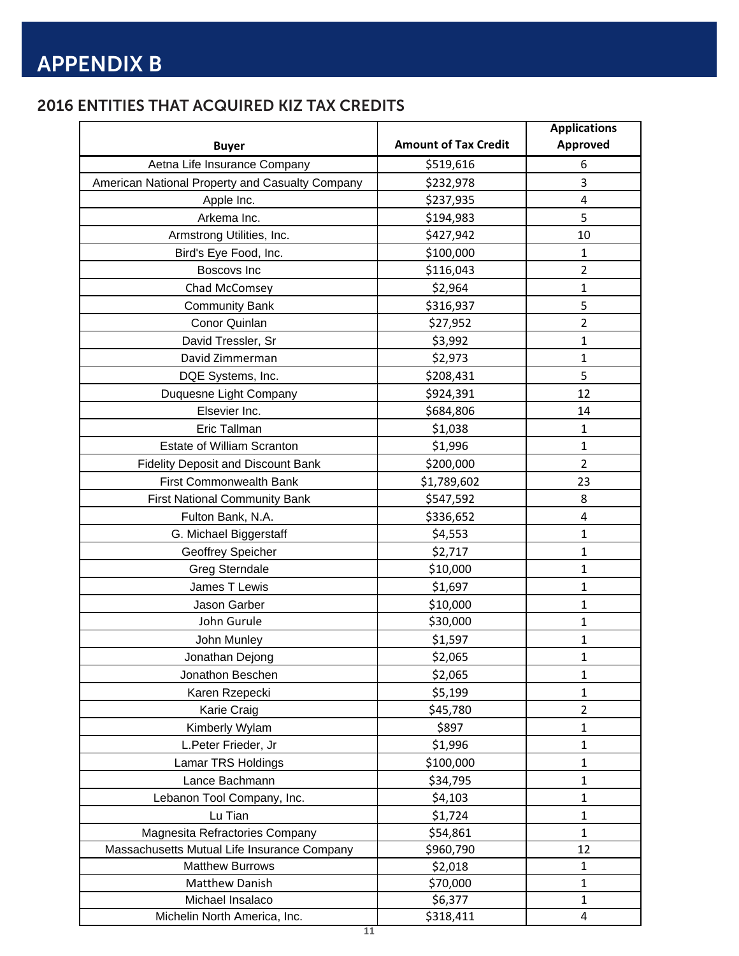### 2016 ENTITIES THAT ACQUIRED KIZ TAX CREDITS

|                                                 |                             | <b>Applications</b> |
|-------------------------------------------------|-----------------------------|---------------------|
| <b>Buyer</b>                                    | <b>Amount of Tax Credit</b> | <b>Approved</b>     |
| Aetna Life Insurance Company                    | \$519,616                   | 6                   |
| American National Property and Casualty Company | \$232,978                   | 3                   |
| Apple Inc.                                      | \$237,935                   | 4                   |
| Arkema Inc.                                     | \$194,983                   | 5                   |
| Armstrong Utilities, Inc.                       | \$427,942                   | 10                  |
| Bird's Eye Food, Inc.                           | \$100,000                   | $\mathbf{1}$        |
| Boscovs Inc                                     | \$116,043                   | $\overline{2}$      |
| Chad McComsey                                   | \$2,964                     | $\mathbf{1}$        |
| <b>Community Bank</b>                           | \$316,937                   | 5                   |
| Conor Quinlan                                   | \$27,952                    | $\overline{2}$      |
| David Tressler, Sr                              | \$3,992                     | $\mathbf 1$         |
| David Zimmerman                                 | \$2,973                     | $\mathbf{1}$        |
| DQE Systems, Inc.                               | \$208,431                   | 5                   |
| Duquesne Light Company                          | \$924,391                   | 12                  |
| Elsevier Inc.                                   | \$684,806                   | 14                  |
| Eric Tallman                                    | \$1,038                     | $\mathbf{1}$        |
| <b>Estate of William Scranton</b>               | \$1,996                     | $\mathbf 1$         |
| <b>Fidelity Deposit and Discount Bank</b>       | \$200,000                   | $\overline{2}$      |
| <b>First Commonwealth Bank</b>                  | \$1,789,602                 | 23                  |
| <b>First National Community Bank</b>            | \$547,592                   | 8                   |
| Fulton Bank, N.A.                               | \$336,652                   | 4                   |
| G. Michael Biggerstaff                          | \$4,553                     | $\mathbf{1}$        |
| Geoffrey Speicher                               | \$2,717                     | $\mathbf{1}$        |
| <b>Greg Sterndale</b>                           | \$10,000                    | $\mathbf 1$         |
| James T Lewis                                   | \$1,697                     | $\mathbf{1}$        |
| Jason Garber                                    | \$10,000                    | $\mathbf{1}$        |
| John Gurule                                     | \$30,000                    | $\mathbf{1}$        |
| John Munley                                     | \$1,597                     | 1                   |
| Jonathan Dejong                                 | \$2,065                     | $\mathbf{1}$        |
| Jonathon Beschen                                | \$2,065                     | $\mathbf{1}$        |
| Karen Rzepecki                                  | \$5,199                     | $\mathbf 1$         |
| Karie Craig                                     | \$45,780                    | $\overline{2}$      |
| Kimberly Wylam                                  | \$897                       | $\mathbf{1}$        |
| L.Peter Frieder, Jr                             | \$1,996                     | $\mathbf{1}$        |
| Lamar TRS Holdings                              | \$100,000                   | $\mathbf{1}$        |
| Lance Bachmann                                  | \$34,795                    | $\mathbf{1}$        |
| Lebanon Tool Company, Inc.                      | \$4,103                     | $\mathbf{1}$        |
| Lu Tian                                         | \$1,724                     | $\mathbf{1}$        |
| Magnesita Refractories Company                  | \$54,861                    | $\mathbf{1}$        |
| Massachusetts Mutual Life Insurance Company     | \$960,790                   | 12                  |
| <b>Matthew Burrows</b>                          | \$2,018                     | $\mathbf{1}$        |
| Matthew Danish                                  | \$70,000                    | $\mathbf{1}$        |
| Michael Insalaco                                | \$6,377                     | $\mathbf{1}$        |
| Michelin North America, Inc.                    | \$318,411                   | $\overline{4}$      |